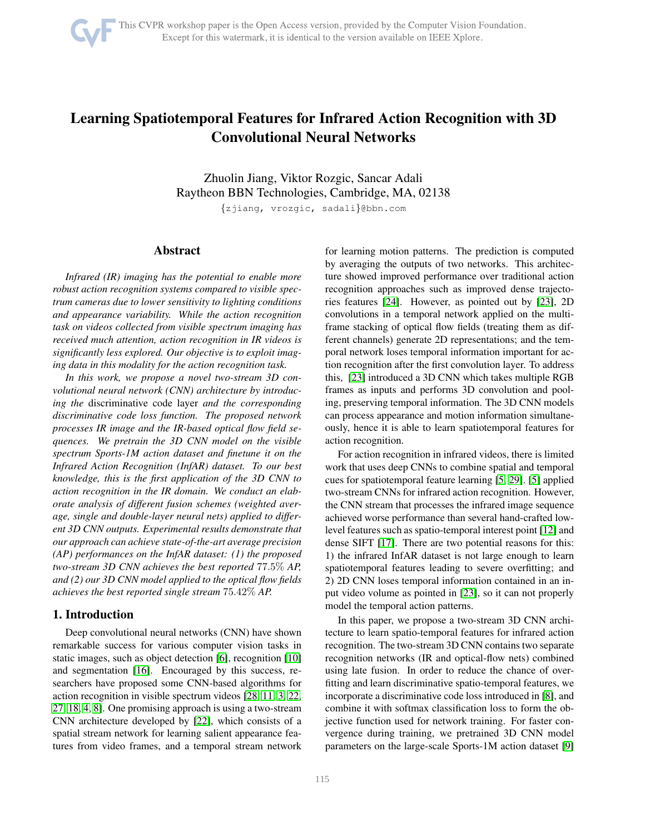# <span id="page-0-0"></span>Learning Spatiotemporal Features for Infrared Action Recognition with 3D Convolutional Neural Networks

Zhuolin Jiang, Viktor Rozgic, Sancar Adali Raytheon BBN Technologies, Cambridge, MA, 02138

{zjiang, vrozgic, sadali}@bbn.com

## Abstract

*Infrared (IR) imaging has the potential to enable more robust action recognition systems compared to visible spectrum cameras due to lower sensitivity to lighting conditions and appearance variability. While the action recognition task on videos collected from visible spectrum imaging has received much attention, action recognition in IR videos is significantly less explored. Our objective is to exploit imaging data in this modality for the action recognition task.*

*In this work, we propose a novel two-stream 3D convolutional neural network (CNN) architecture by introducing the* discriminative code layer *and the corresponding discriminative code loss function. The proposed network processes IR image and the IR-based optical flow field sequences. We pretrain the 3D CNN model on the visible spectrum Sports-1M action dataset and finetune it on the Infrared Action Recognition (InfAR) dataset. To our best knowledge, this is the first application of the 3D CNN to action recognition in the IR domain. We conduct an elaborate analysis of different fusion schemes (weighted average, single and double-layer neural nets) applied to different 3D CNN outputs. Experimental results demonstrate that our approach can achieve state-of-the-art average precision (AP) performances on the InfAR dataset: (1) the proposed two-stream 3D CNN achieves the best reported* 77.5% *AP, and (2) our 3D CNN model applied to the optical flow fields achieves the best reported single stream* 75.42% *AP.*

# 1. Introduction

Deep convolutional neural networks (CNN) have shown remarkable success for various computer vision tasks in static images, such as object detection [\[6\]](#page-8-0), recognition [\[10\]](#page-8-1) and segmentation [\[16\]](#page-8-2). Encouraged by this success, researchers have proposed some CNN-based algorithms for action recognition in visible spectrum videos [\[28,](#page-8-3) [11,](#page-8-4) [3,](#page-8-5) [22,](#page-8-6) [27,](#page-8-7) [18,](#page-8-8) [4,](#page-8-9) [8\]](#page-8-10). One promising approach is using a two-stream CNN architecture developed by [\[22\]](#page-8-6), which consists of a spatial stream network for learning salient appearance features from video frames, and a temporal stream network for learning motion patterns. The prediction is computed by averaging the outputs of two networks. This architecture showed improved performance over traditional action recognition approaches such as improved dense trajectories features [\[24\]](#page-8-11). However, as pointed out by [\[23\]](#page-8-12), 2D convolutions in a temporal network applied on the multiframe stacking of optical flow fields (treating them as different channels) generate 2D representations; and the temporal network loses temporal information important for action recognition after the first convolution layer. To address this, [\[23\]](#page-8-12) introduced a 3D CNN which takes multiple RGB frames as inputs and performs 3D convolution and pooling, preserving temporal information. The 3D CNN models can process appearance and motion information simultaneously, hence it is able to learn spatiotemporal features for action recognition.

For action recognition in infrared videos, there is limited work that uses deep CNNs to combine spatial and temporal cues for spatiotemporal feature learning [\[5,](#page-8-13) [29\]](#page-8-14). [\[5\]](#page-8-13) applied two-stream CNNs for infrared action recognition. However, the CNN stream that processes the infrared image sequence achieved worse performance than several hand-crafted lowlevel features such as spatio-temporal interest point [\[12\]](#page-8-15) and dense SIFT [\[17\]](#page-8-16). There are two potential reasons for this: 1) the infrared InfAR dataset is not large enough to learn spatiotemporal features leading to severe overfitting; and 2) 2D CNN loses temporal information contained in an input video volume as pointed in [\[23\]](#page-8-12), so it can not properly model the temporal action patterns.

In this paper, we propose a two-stream 3D CNN architecture to learn spatio-temporal features for infrared action recognition. The two-stream 3D CNN contains two separate recognition networks (IR and optical-flow nets) combined using late fusion. In order to reduce the chance of overfitting and learn discriminative spatio-temporal features, we incorporate a discriminative code loss introduced in [\[8\]](#page-8-10), and combine it with softmax classification loss to form the objective function used for network training. For faster convergence during training, we pretrained 3D CNN model parameters on the large-scale Sports-1M action dataset [\[9\]](#page-8-17)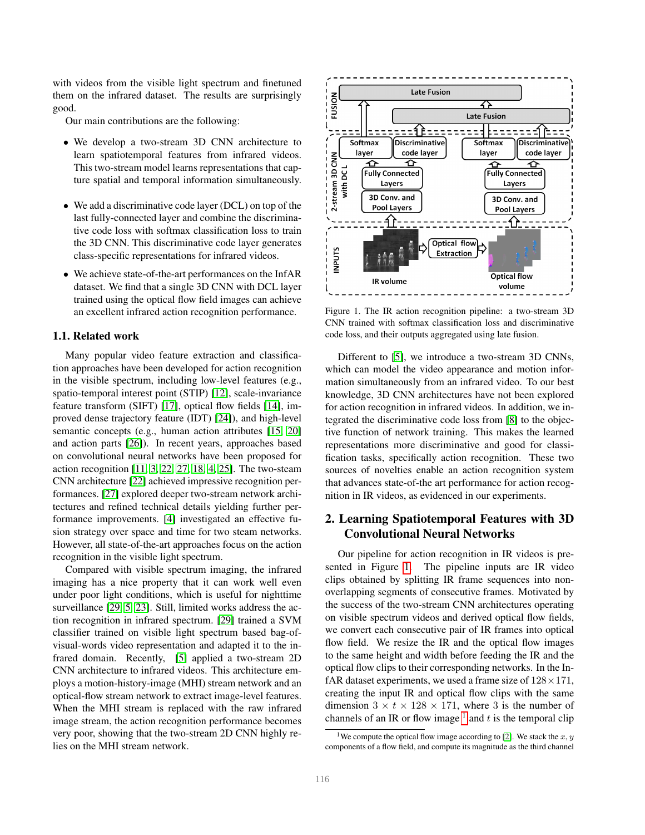<span id="page-1-2"></span>with videos from the visible light spectrum and finetuned them on the infrared dataset. The results are surprisingly good.

Our main contributions are the following:

- We develop a two-stream 3D CNN architecture to learn spatiotemporal features from infrared videos. This two-stream model learns representations that capture spatial and temporal information simultaneously.
- We add a discriminative code layer (DCL) on top of the last fully-connected layer and combine the discriminative code loss with softmax classification loss to train the 3D CNN. This discriminative code layer generates class-specific representations for infrared videos.
- We achieve state-of-the-art performances on the InfAR dataset. We find that a single 3D CNN with DCL layer trained using the optical flow field images can achieve an excellent infrared action recognition performance.

#### 1.1. Related work

Many popular video feature extraction and classification approaches have been developed for action recognition in the visible spectrum, including low-level features (e.g., spatio-temporal interest point (STIP) [\[12\]](#page-8-15), scale-invariance feature transform (SIFT) [\[17\]](#page-8-16), optical flow fields [\[14\]](#page-8-18), improved dense trajectory feature (IDT) [\[24\]](#page-8-11)), and high-level semantic concepts (e.g., human action attributes [\[15,](#page-8-19) [20\]](#page-8-20) and action parts [\[26\]](#page-8-21)). In recent years, approaches based on convolutional neural networks have been proposed for action recognition [\[11,](#page-8-4) [3,](#page-8-5) [22,](#page-8-6) [27,](#page-8-7) [18,](#page-8-8) [4,](#page-8-9) [25\]](#page-8-22). The two-steam CNN architecture [\[22\]](#page-8-6) achieved impressive recognition performances. [\[27\]](#page-8-7) explored deeper two-stream network architectures and refined technical details yielding further performance improvements. [\[4\]](#page-8-9) investigated an effective fusion strategy over space and time for two steam networks. However, all state-of-the-art approaches focus on the action recognition in the visible light spectrum.

Compared with visible spectrum imaging, the infrared imaging has a nice property that it can work well even under poor light conditions, which is useful for nighttime surveillance [\[29,](#page-8-14) [5,](#page-8-13) [23\]](#page-8-12). Still, limited works address the action recognition in infrared spectrum. [\[29\]](#page-8-14) trained a SVM classifier trained on visible light spectrum based bag-ofvisual-words video representation and adapted it to the infrared domain. Recently, [\[5\]](#page-8-13) applied a two-stream 2D CNN architecture to infrared videos. This architecture employs a motion-history-image (MHI) stream network and an optical-flow stream network to extract image-level features. When the MHI stream is replaced with the raw infrared image stream, the action recognition performance becomes very poor, showing that the two-stream 2D CNN highly relies on the MHI stream network.



<span id="page-1-0"></span>Figure 1. The IR action recognition pipeline: a two-stream 3D CNN trained with softmax classification loss and discriminative code loss, and their outputs aggregated using late fusion.

Different to [\[5\]](#page-8-13), we introduce a two-stream 3D CNNs, which can model the video appearance and motion information simultaneously from an infrared video. To our best knowledge, 3D CNN architectures have not been explored for action recognition in infrared videos. In addition, we integrated the discriminative code loss from [\[8\]](#page-8-10) to the objective function of network training. This makes the learned representations more discriminative and good for classification tasks, specifically action recognition. These two sources of novelties enable an action recognition system that advances state-of-the art performance for action recognition in IR videos, as evidenced in our experiments.

# 2. Learning Spatiotemporal Features with 3D Convolutional Neural Networks

Our pipeline for action recognition in IR videos is presented in Figure [1.](#page-1-0) The pipeline inputs are IR video clips obtained by splitting IR frame sequences into nonoverlapping segments of consecutive frames. Motivated by the success of the two-stream CNN architectures operating on visible spectrum videos and derived optical flow fields, we convert each consecutive pair of IR frames into optical flow field. We resize the IR and the optical flow images to the same height and width before feeding the IR and the optical flow clips to their corresponding networks. In the InfAR dataset experiments, we used a frame size of  $128 \times 171$ , creating the input IR and optical flow clips with the same dimension  $3 \times t \times 128 \times 171$ , where 3 is the number of channels of an IR or flow image  $<sup>1</sup>$  $<sup>1</sup>$  $<sup>1</sup>$  and  $t$  is the temporal clip</sup>

<span id="page-1-1"></span><sup>&</sup>lt;sup>1</sup>We compute the optical flow image according to [\[2\]](#page-8-23). We stack the x, y components of a flow field, and compute its magnitude as the third channel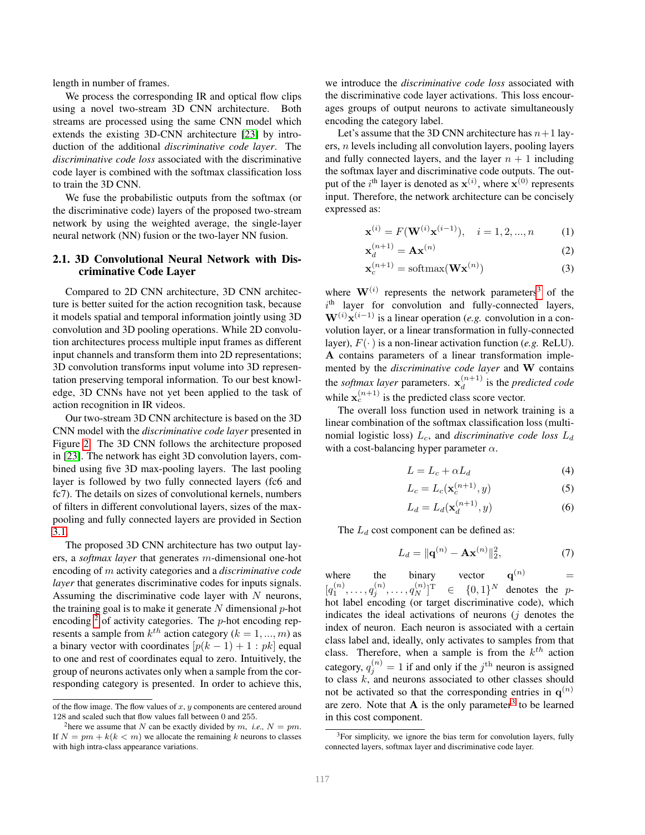<span id="page-2-6"></span>length in number of frames.

We process the corresponding IR and optical flow clips using a novel two-stream 3D CNN architecture. Both streams are processed using the same CNN model which extends the existing 3D-CNN architecture [\[23\]](#page-8-12) by introduction of the additional *discriminative code layer*. The *discriminative code loss* associated with the discriminative code layer is combined with the softmax classification loss to train the 3D CNN.

We fuse the probabilistic outputs from the softmax (or the discriminative code) layers of the proposed two-stream network by using the weighted average, the single-layer neural network (NN) fusion or the two-layer NN fusion.

## 2.1. 3D Convolutional Neural Network with Discriminative Code Layer

Compared to 2D CNN architecture, 3D CNN architecture is better suited for the action recognition task, because it models spatial and temporal information jointly using 3D convolution and 3D pooling operations. While 2D convolution architectures process multiple input frames as different input channels and transform them into 2D representations; 3D convolution transforms input volume into 3D representation preserving temporal information. To our best knowledge, 3D CNNs have not yet been applied to the task of action recognition in IR videos.

Our two-stream 3D CNN architecture is based on the 3D CNN model with the *discriminative code layer* presented in Figure [2.](#page-3-0) The 3D CNN follows the architecture proposed in [\[23\]](#page-8-12). The network has eight 3D convolution layers, combined using five 3D max-pooling layers. The last pooling layer is followed by two fully connected layers (fc6 and fc7). The details on sizes of convolutional kernels, numbers of filters in different convolutional layers, sizes of the maxpooling and fully connected layers are provided in Section [3.1.](#page-4-0)

The proposed 3D CNN architecture has two output layers, a *softmax layer* that generates m-dimensional one-hot encoding of m activity categories and a *discriminative code layer* that generates discriminative codes for inputs signals. Assuming the discriminative code layer with  $N$  neurons, the training goal is to make it generate  $N$  dimensional  $p$ -hot encoding  $2$  of activity categories. The *p*-hot encoding represents a sample from  $k^{th}$  action category ( $k = 1, ..., m$ ) as a binary vector with coordinates  $[p(k-1) + 1 : pk]$  equal to one and rest of coordinates equal to zero. Intuitively, the group of neurons activates only when a sample from the corresponding category is presented. In order to achieve this,

we introduce the *discriminative code loss* associated with the discriminative code layer activations. This loss encourages groups of output neurons to activate simultaneously encoding the category label.

Let's assume that the 3D CNN architecture has  $n+1$  layers, n levels including all convolution layers, pooling layers and fully connected layers, and the layer  $n + 1$  including the softmax layer and discriminative code outputs. The output of the  $i^{\text{th}}$  layer is denoted as  $\mathbf{x}^{(i)}$ , where  $\mathbf{x}^{(0)}$  represents input. Therefore, the network architecture can be concisely expressed as:

<span id="page-2-4"></span>
$$
\mathbf{x}^{(i)} = F(\mathbf{W}^{(i)} \mathbf{x}^{(i-1)}), \quad i = 1, 2, ..., n \tag{1}
$$

$$
\mathbf{x}_d^{(n+1)} = \mathbf{A}\mathbf{x}^{(n)}\tag{2}
$$

$$
\mathbf{x}_c^{(n+1)} = \text{softmax}(\mathbf{W}\mathbf{x}^{(n)})
$$
 (3)

where  $\mathbf{W}^{(i)}$  represents the network parameters<sup>[3](#page-2-1)</sup> of the  $i<sup>th</sup>$  layer for convolution and fully-connected layers,  $\mathbf{W}^{(i)}\mathbf{x}^{(i-1)}$  is a linear operation (*e.g.* convolution in a convolution layer, or a linear transformation in fully-connected layer),  $F(\cdot)$  is a non-linear activation function (*e.g.* ReLU). A contains parameters of a linear transformation implemented by the *discriminative code layer* and W contains the *softmax layer* parameters.  $\mathbf{x}_d^{(n+1)}$  is the *predicted code* while  $\mathbf{x}_c^{(n+1)}$  is the predicted class score vector.

The overall loss function used in network training is a linear combination of the softmax classification loss (multinomial logistic loss)  $L_c$ , and *discriminative code loss*  $L_d$ with a cost-balancing hyper parameter  $\alpha$ .

<span id="page-2-5"></span><span id="page-2-2"></span>
$$
L = L_c + \alpha L_d \tag{4}
$$

$$
L_c = L_c(\mathbf{x}_c^{(n+1)}, y) \tag{5}
$$

<span id="page-2-3"></span>
$$
L_d = L_d(\mathbf{x}_d^{(n+1)}, y) \tag{6}
$$

The  $L_d$  cost component can be defined as:

$$
L_d = ||\mathbf{q}^{(n)} - \mathbf{A}\mathbf{x}^{(n)}||_2^2, \tag{7}
$$

where the binary vector **q**  $\mathbf{q}^{(n)}$  $[q_1^{(n)}, \ldots, q_j^{(n)}, \ldots, q_N^{(n)}]$  $\in \{0,1\}^N$ denotes the  $p$ hot label encoding (or target discriminative code), which indicates the ideal activations of neurons  $(i)$  denotes the index of neuron. Each neuron is associated with a certain class label and, ideally, only activates to samples from that class. Therefore, when a sample is from the  $k^{th}$  action category,  $q_j^{(n)} = 1$  if and only if the  $j^{\text{th}}$  neuron is assigned to class  $k$ , and neurons associated to other classes should not be activated so that the corresponding entries in  $q^{(n)}$ are zero. Note that  $A$  is the only parameter<sup>[3](#page-2-1)</sup> to be learned in this cost component.

of the flow image. The flow values of  $x, y$  components are centered around 128 and scaled such that flow values fall between 0 and 255.

<span id="page-2-0"></span><sup>&</sup>lt;sup>2</sup>here we assume that N can be exactly divided by m, *i.e.*,  $N = \nu m$ . If  $N = pm + k(k < m)$  we allocate the remaining k neurons to classes with high intra-class appearance variations.

<span id="page-2-1"></span><sup>&</sup>lt;sup>3</sup>For simplicity, we ignore the bias term for convolution layers, fully connected layers, softmax layer and discriminative code layer.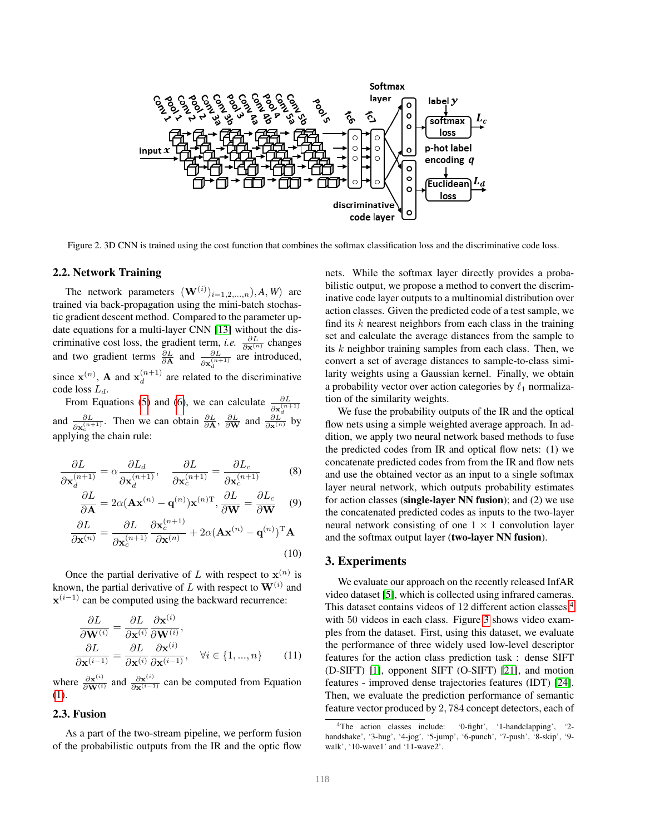<span id="page-3-2"></span>

<span id="page-3-0"></span>Figure 2. 3D CNN is trained using the cost function that combines the softmax classification loss and the discriminative code loss.

#### 2.2. Network Training

The network parameters  $(\mathbf{W}^{(i)})_{i=1,2,\dots,n}, A, W$  are trained via back-propagation using the mini-batch stochastic gradient descent method. Compared to the parameter update equations for a multi-layer CNN [\[13\]](#page-8-24) without the discriminative cost loss, the gradient term, *i.e.*  $\frac{\partial L}{\partial \mathbf{x}^{(n)}}$  changes and two gradient terms  $\frac{\partial L}{\partial \mathbf{A}}$  and  $\frac{\partial L}{\partial \mathbf{x}_d^{(n+1)}}$  are introduced, since  $\mathbf{x}^{(n)}$ , **A** and  $\mathbf{x}_d^{(n+1)}$  are related to the discriminative code loss  $L_d$ .

From Equations [\(5\)](#page-2-2) and [\(6\)](#page-2-3), we can calculate  $\frac{\partial L}{\partial \mathbf{x}_d^{(n+1)}}$ <br>and  $\frac{\partial L}{\partial \mathbf{x}_c^{(n+1)}}$ . Then we can obtain  $\frac{\partial L}{\partial \mathbf{A}}$ ,  $\frac{\partial L}{\partial \mathbf{W}}$  and  $\frac{\partial L}{\partial \mathbf{x}^{(n)}}$  by applying the chain rule:

$$
\frac{\partial L}{\partial \mathbf{x}_{d}^{(n+1)}} = \alpha \frac{\partial L_{d}}{\partial \mathbf{x}_{d}^{(n+1)}}, \quad \frac{\partial L}{\partial \mathbf{x}_{c}^{(n+1)}} = \frac{\partial L_{c}}{\partial \mathbf{x}_{c}^{(n+1)}} \tag{8}
$$

$$
\frac{\partial L}{\partial \mathbf{A}} = 2\alpha (\mathbf{A}\mathbf{x}^{(n)} - \mathbf{q}^{(n)})\mathbf{x}^{(n)T}, \frac{\partial L}{\partial \mathbf{W}} = \frac{\partial L_c}{\partial \mathbf{W}} \quad (9)
$$

$$
\frac{\partial L}{\partial \mathbf{x}^{(n)}} = \frac{\partial L}{\partial \mathbf{x}_c^{(n+1)}} \frac{\partial \mathbf{x}_c^{(n+1)}}{\partial \mathbf{x}^{(n)}} + 2\alpha (\mathbf{A} \mathbf{x}^{(n)} - \mathbf{q}^{(n)})^{\mathrm{T}} \mathbf{A}
$$
(10)

Once the partial derivative of L with respect to  $\mathbf{x}^{(n)}$  is known, the partial derivative of L with respect to  $\mathbf{W}^{(i)}$  and  $\mathbf{x}^{(i-1)}$  can be computed using the backward recurrence:

$$
\frac{\partial L}{\partial \mathbf{W}^{(i)}} = \frac{\partial L}{\partial \mathbf{x}^{(i)}} \frac{\partial \mathbf{x}^{(i)}}{\partial \mathbf{W}^{(i)}},
$$
\n
$$
\frac{\partial L}{\partial \mathbf{x}^{(i-1)}} = \frac{\partial L}{\partial \mathbf{x}^{(i)}} \frac{\partial \mathbf{x}^{(i)}}{\partial \mathbf{x}^{(i-1)}}, \quad \forall i \in \{1, ..., n\}
$$
\n(11)

where  $\frac{\partial \mathbf{x}^{(i)}}{\partial \mathbf{W}^{(i)}}$  and  $\frac{\partial \mathbf{x}^{(i)}}{\partial \mathbf{x}^{(i-1)}}$  can be computed from Equation [\(1\)](#page-2-4).

#### 2.3. Fusion

As a part of the two-stream pipeline, we perform fusion of the probabilistic outputs from the IR and the optic flow nets. While the softmax layer directly provides a probabilistic output, we propose a method to convert the discriminative code layer outputs to a multinomial distribution over action classes. Given the predicted code of a test sample, we find its  $k$  nearest neighbors from each class in the training set and calculate the average distances from the sample to its  $k$  neighbor training samples from each class. Then, we convert a set of average distances to sample-to-class similarity weights using a Gaussian kernel. Finally, we obtain a probability vector over action categories by  $\ell_1$  normalization of the similarity weights.

We fuse the probability outputs of the IR and the optical flow nets using a simple weighted average approach. In addition, we apply two neural network based methods to fuse the predicted codes from IR and optical flow nets: (1) we concatenate predicted codes from from the IR and flow nets and use the obtained vector as an input to a single softmax layer neural network, which outputs probability estimates for action classes (single-layer NN fusion); and (2) we use the concatenated predicted codes as inputs to the two-layer neural network consisting of one  $1 \times 1$  convolution layer and the softmax output layer (two-layer NN fusion).

## 3. Experiments

We evaluate our approach on the recently released InfAR video dataset [\[5\]](#page-8-13), which is collected using infrared cameras. This dataset contains videos of 12 different action classes [4](#page-3-1) with 50 videos in each class. Figure [3](#page-4-1) shows video examples from the dataset. First, using this dataset, we evaluate the performance of three widely used low-level descriptor features for the action class prediction task : dense SIFT (D-SIFT) [\[1\]](#page-8-25), opponent SIFT (O-SIFT) [\[21\]](#page-8-26), and motion features - improved dense trajectories features (IDT) [\[24\]](#page-8-11). Then, we evaluate the prediction performance of semantic feature vector produced by 2, 784 concept detectors, each of

<span id="page-3-1"></span><sup>4</sup>The action classes include: '0-fight', '1-handclapping', '2 handshake', '3-hug', '4-jog', '5-jump', '6-punch', '7-push', '8-skip', '9 walk', '10-wave1' and '11-wave2'.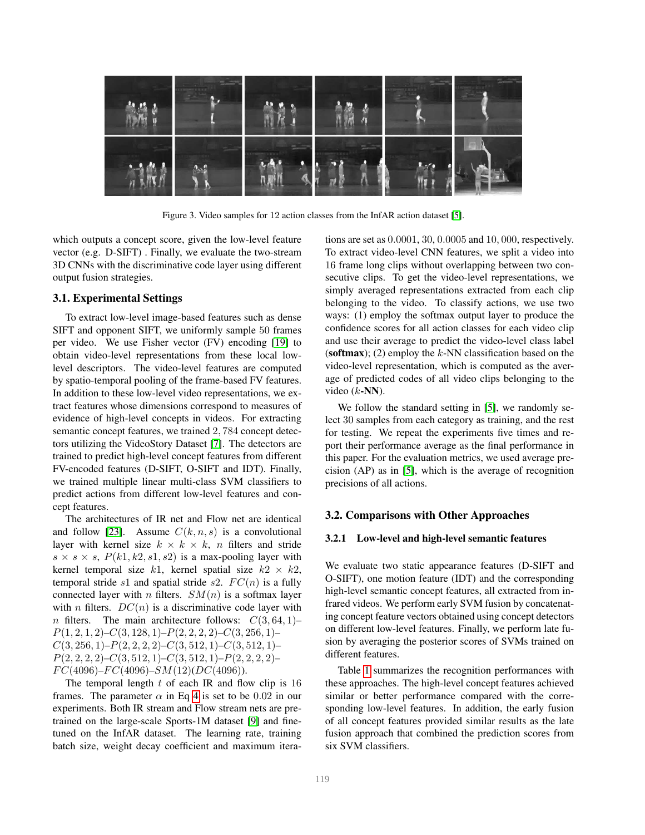<span id="page-4-3"></span>

Figure 3. Video samples for 12 action classes from the InfAR action dataset [\[5\]](#page-8-13).

which outputs a concept score, given the low-level feature vector (e.g. D-SIFT) . Finally, we evaluate the two-stream 3D CNNs with the discriminative code layer using different output fusion strategies.

## <span id="page-4-0"></span>3.1. Experimental Settings

To extract low-level image-based features such as dense SIFT and opponent SIFT, we uniformly sample 50 frames per video. We use Fisher vector (FV) encoding [\[19\]](#page-8-27) to obtain video-level representations from these local lowlevel descriptors. The video-level features are computed by spatio-temporal pooling of the frame-based FV features. In addition to these low-level video representations, we extract features whose dimensions correspond to measures of evidence of high-level concepts in videos. For extracting semantic concept features, we trained 2, 784 concept detectors utilizing the VideoStory Dataset [\[7\]](#page-8-28). The detectors are trained to predict high-level concept features from different FV-encoded features (D-SIFT, O-SIFT and IDT). Finally, we trained multiple linear multi-class SVM classifiers to predict actions from different low-level features and concept features.

The architectures of IR net and Flow net are identical and follow [\[23\]](#page-8-12). Assume  $C(k, n, s)$  is a convolutional layer with kernel size  $k \times k \times k$ , *n* filters and stride  $s \times s \times s$ ,  $P(k1, k2, s1, s2)$  is a max-pooling layer with kernel temporal size k1, kernel spatial size  $k2 \times k2$ , temporal stride s1 and spatial stride s2.  $FC(n)$  is a fully connected layer with *n* filters.  $SM(n)$  is a softmax layer with *n* filters.  $DC(n)$  is a discriminative code layer with n filters. The main architecture follows:  $C(3, 64, 1)$ –  $P(1, 2, 1, 2)$ – $C(3, 128, 1)$ – $P(2, 2, 2, 2)$ – $C(3, 256, 1)$ –  $C(3, 256, 1)$ – $P(2, 2, 2, 2)$ – $C(3, 512, 1)$ – $C(3, 512, 1)$ –  $P(2, 2, 2, 2)$ – $C(3, 512, 1)$ – $C(3, 512, 1)$ – $P(2, 2, 2, 2)$ –  $FC(4096) - FC(4096) - SM(12)(DC(4096)).$ 

The temporal length  $t$  of each IR and flow clip is 16 frames. The parameter  $\alpha$  in Eq [4](#page-2-5) is set to be 0.02 in our experiments. Both IR stream and Flow stream nets are pretrained on the large-scale Sports-1M dataset [\[9\]](#page-8-17) and finetuned on the InfAR dataset. The learning rate, training batch size, weight decay coefficient and maximum itera<span id="page-4-1"></span>tions are set as 0.0001, 30, 0.0005 and 10, 000, respectively. To extract video-level CNN features, we split a video into 16 frame long clips without overlapping between two consecutive clips. To get the video-level representations, we simply averaged representations extracted from each clip belonging to the video. To classify actions, we use two ways: (1) employ the softmax output layer to produce the confidence scores for all action classes for each video clip and use their average to predict the video-level class label (softmax); (2) employ the  $k$ -NN classification based on the video-level representation, which is computed as the average of predicted codes of all video clips belonging to the video  $(k$ -NN).

We follow the standard setting in [\[5\]](#page-8-13), we randomly select 30 samples from each category as training, and the rest for testing. We repeat the experiments five times and report their performance average as the final performance in this paper. For the evaluation metrics, we used average precision (AP) as in [\[5\]](#page-8-13), which is the average of recognition precisions of all actions.

# 3.2. Comparisons with Other Approaches

#### <span id="page-4-2"></span>3.2.1 Low-level and high-level semantic features

We evaluate two static appearance features (D-SIFT and O-SIFT), one motion feature (IDT) and the corresponding high-level semantic concept features, all extracted from infrared videos. We perform early SVM fusion by concatenating concept feature vectors obtained using concept detectors on different low-level features. Finally, we perform late fusion by averaging the posterior scores of SVMs trained on different features.

Table [1](#page-5-0) summarizes the recognition performances with these approaches. The high-level concept features achieved similar or better performance compared with the corresponding low-level features. In addition, the early fusion of all concept features provided similar results as the late fusion approach that combined the prediction scores from six SVM classifiers.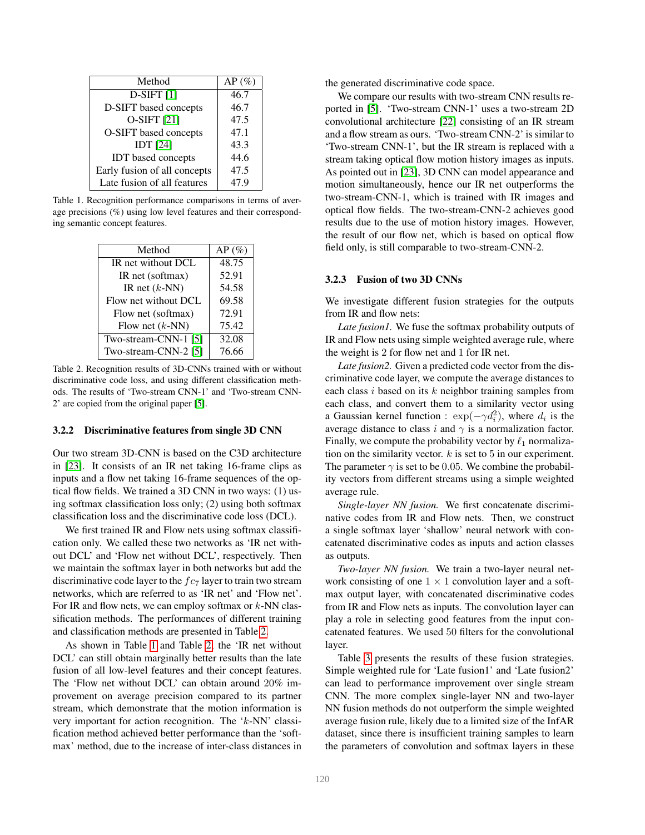<span id="page-5-2"></span>

| Method                       | $AP(\%)$ |
|------------------------------|----------|
| $D-SIFT$ [1]                 | 46.7     |
| D-SIFT based concepts        | 46.7     |
| O-SIFT [21]                  | 47.5     |
| O-SIFT based concepts        | 47.1     |
| <b>IDT</b> [24]              | 43.3     |
| <b>IDT</b> based concepts    | 44.6     |
| Early fusion of all concepts | 47.5     |
| Late fusion of all features  | 47.9     |

<span id="page-5-0"></span>Table 1. Recognition performance comparisons in terms of average precisions (%) using low level features and their corresponding semantic concept features.

| Method                   | $AP(\%)$ |
|--------------------------|----------|
| IR net without DCL       | 48.75    |
| IR net (softmax)         | 52.91    |
| IR net $(k$ -NN)         | 54.58    |
| Flow net without DCL     | 69.58    |
| Flow net (softmax)       | 72.91    |
| Flow net $(k\text{-NN})$ | 75.42    |
| Two-stream-CNN-1 [5]     | 32.08    |
| Two-stream-CNN-2 [5]     | 76.66    |

<span id="page-5-1"></span>Table 2. Recognition results of 3D-CNNs trained with or without discriminative code loss, and using different classification methods. The results of 'Two-stream CNN-1' and 'Two-stream CNN-2' are copied from the original paper [\[5\]](#page-8-13).

#### 3.2.2 Discriminative features from single 3D CNN

Our two stream 3D-CNN is based on the C3D architecture in [\[23\]](#page-8-12). It consists of an IR net taking 16-frame clips as inputs and a flow net taking 16-frame sequences of the optical flow fields. We trained a 3D CNN in two ways: (1) using softmax classification loss only; (2) using both softmax classification loss and the discriminative code loss (DCL).

We first trained IR and Flow nets using softmax classification only. We called these two networks as 'IR net without DCL' and 'Flow net without DCL', respectively. Then we maintain the softmax layer in both networks but add the discriminative code layer to the  $fc<sub>7</sub>$  layer to train two stream networks, which are referred to as 'IR net' and 'Flow net'. For IR and flow nets, we can employ softmax or  $k$ -NN classification methods. The performances of different training and classification methods are presented in Table [2.](#page-5-1)

As shown in Table [1](#page-5-0) and Table [2,](#page-5-1) the 'IR net without DCL' can still obtain marginally better results than the late fusion of all low-level features and their concept features. The 'Flow net without DCL' can obtain around 20% improvement on average precision compared to its partner stream, which demonstrate that the motion information is very important for action recognition. The 'k-NN' classification method achieved better performance than the 'softmax' method, due to the increase of inter-class distances in the generated discriminative code space.

We compare our results with two-stream CNN results reported in [\[5\]](#page-8-13). 'Two-stream CNN-1' uses a two-stream 2D convolutional architecture [\[22\]](#page-8-6) consisting of an IR stream and a flow stream as ours. 'Two-stream CNN-2' is similar to 'Two-stream CNN-1', but the IR stream is replaced with a stream taking optical flow motion history images as inputs. As pointed out in [\[23\]](#page-8-12), 3D CNN can model appearance and motion simultaneously, hence our IR net outperforms the two-stream-CNN-1, which is trained with IR images and optical flow fields. The two-stream-CNN-2 achieves good results due to the use of motion history images. However, the result of our flow net, which is based on optical flow field only, is still comparable to two-stream-CNN-2.

#### 3.2.3 Fusion of two 3D CNNs

We investigate different fusion strategies for the outputs from IR and flow nets:

*Late fusion1.* We fuse the softmax probability outputs of IR and Flow nets using simple weighted average rule, where the weight is 2 for flow net and 1 for IR net.

*Late fusion2.* Given a predicted code vector from the discriminative code layer, we compute the average distances to each class i based on its k neighbor training samples from each class, and convert them to a similarity vector using a Gaussian kernel function :  $\exp(-\gamma d_i^2)$ , where  $d_i$  is the average distance to class i and  $\gamma$  is a normalization factor. Finally, we compute the probability vector by  $\ell_1$  normalization on the similarity vector.  $k$  is set to 5 in our experiment. The parameter  $\gamma$  is set to be 0.05. We combine the probability vectors from different streams using a simple weighted average rule.

*Single-layer NN fusion.* We first concatenate discriminative codes from IR and Flow nets. Then, we construct a single softmax layer 'shallow' neural network with concatenated discriminative codes as inputs and action classes as outputs.

*Two-layer NN fusion.* We train a two-layer neural network consisting of one  $1 \times 1$  convolution layer and a softmax output layer, with concatenated discriminative codes from IR and Flow nets as inputs. The convolution layer can play a role in selecting good features from the input concatenated features. We used 50 filters for the convolutional layer.

Table [3](#page-6-0) presents the results of these fusion strategies. Simple weighted rule for 'Late fusion1' and 'Late fusion2' can lead to performance improvement over single stream CNN. The more complex single-layer NN and two-layer NN fusion methods do not outperform the simple weighted average fusion rule, likely due to a limited size of the InfAR dataset, since there is insufficient training samples to learn the parameters of convolution and softmax layers in these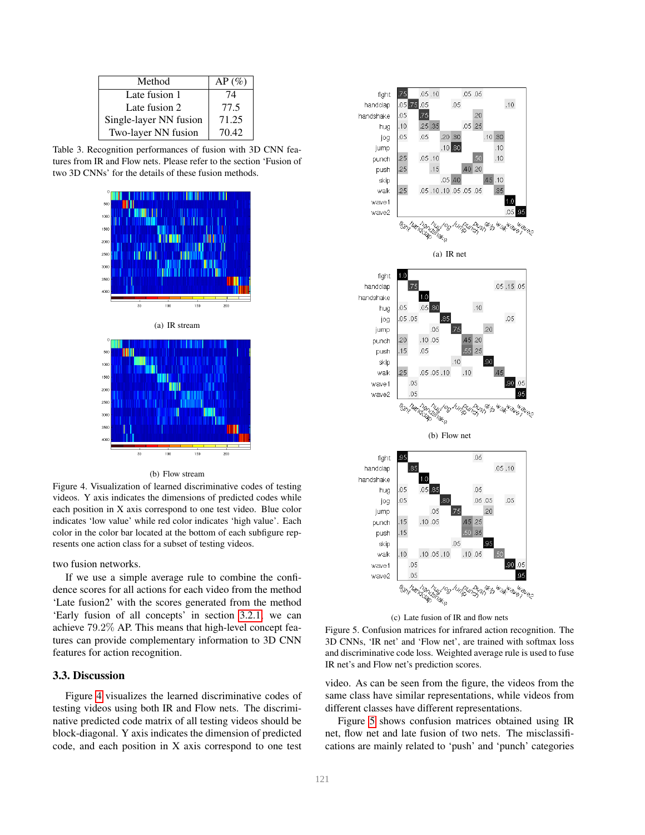| Method                 | $AP(\%)$ |
|------------------------|----------|
| Late fusion 1          | 74       |
| Late fusion 2          | 77.5     |
| Single-layer NN fusion | 71.25    |
| Two-layer NN fusion    | 70.42    |

<span id="page-6-0"></span>Table 3. Recognition performances of fusion with 3D CNN features from IR and Flow nets. Please refer to the section 'Fusion of two 3D CNNs' for the details of these fusion methods.



#### (b) Flow stream

<span id="page-6-1"></span>Figure 4. Visualization of learned discriminative codes of testing videos. Y axis indicates the dimensions of predicted codes while each position in X axis correspond to one test video. Blue color indicates 'low value' while red color indicates 'high value'. Each color in the color bar located at the bottom of each subfigure represents one action class for a subset of testing videos.

two fusion networks.

If we use a simple average rule to combine the confidence scores for all actions for each video from the method 'Late fusion2' with the scores generated from the method 'Early fusion of all concepts' in section [3.2.1,](#page-4-2) we can achieve 79.2% AP. This means that high-level concept features can provide complementary information to 3D CNN features for action recognition.

#### 3.3. Discussion

Figure [4](#page-6-1) visualizes the learned discriminative codes of testing videos using both IR and Flow nets. The discriminative predicted code matrix of all testing videos should be block-diagonal. Y axis indicates the dimension of predicted code, and each position in X axis correspond to one test



<span id="page-6-2"></span>(c) Late fusion of IR and flow nets

Figure 5. Confusion matrices for infrared action recognition. The 3D CNNs, 'IR net' and 'Flow net', are trained with softmax loss and discriminative code loss. Weighted average rule is used to fuse IR net's and Flow net's prediction scores.

video. As can be seen from the figure, the videos from the same class have similar representations, while videos from different classes have different representations.

Figure [5](#page-6-2) shows confusion matrices obtained using IR net, flow net and late fusion of two nets. The misclassifications are mainly related to 'push' and 'punch' categories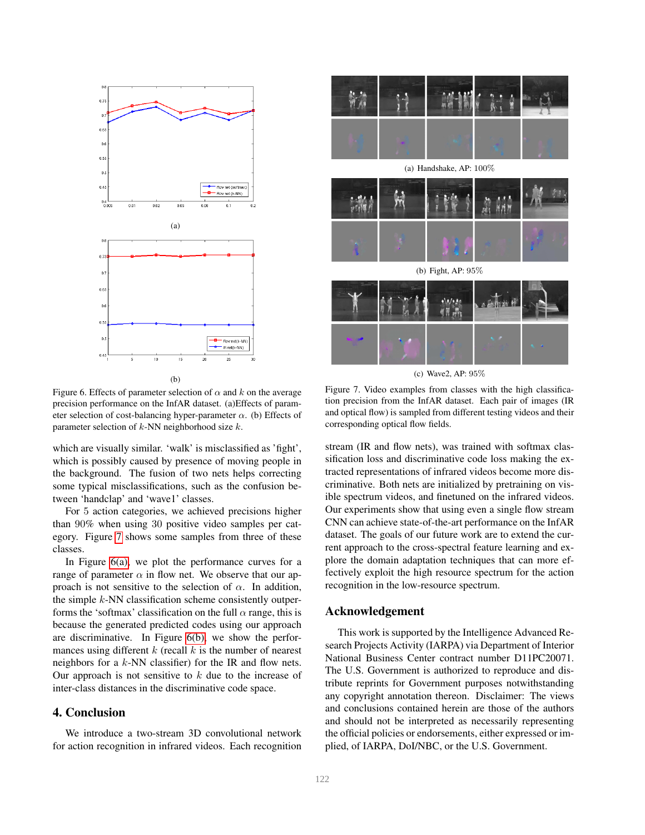<span id="page-7-2"></span><span id="page-7-1"></span>

Figure 6. Effects of parameter selection of  $\alpha$  and k on the average precision performance on the InfAR dataset. (a)Effects of parameter selection of cost-balancing hyper-parameter  $\alpha$ . (b) Effects of parameter selection of  $k$ -NN neighborhood size  $k$ .

which are visually similar. 'walk' is misclassified as 'fight', which is possibly caused by presence of moving people in the background. The fusion of two nets helps correcting some typical misclassifications, such as the confusion between 'handclap' and 'wave1' classes.

For 5 action categories, we achieved precisions higher than 90% when using 30 positive video samples per category. Figure [7](#page-7-0) shows some samples from three of these classes.

In Figure  $6(a)$ , we plot the performance curves for a range of parameter  $\alpha$  in flow net. We observe that our approach is not sensitive to the selection of  $\alpha$ . In addition, the simple  $k$ -NN classification scheme consistently outperforms the 'softmax' classification on the full  $\alpha$  range, this is because the generated predicted codes using our approach are discriminative. In Figure [6\(b\),](#page-7-2) we show the performances using different  $k$  (recall  $k$  is the number of nearest neighbors for a k-NN classifier) for the IR and flow nets. Our approach is not sensitive to  $k$  due to the increase of inter-class distances in the discriminative code space.

# 4. Conclusion

We introduce a two-stream 3D convolutional network for action recognition in infrared videos. Each recognition



(c) Wave2, AP: 95%

<span id="page-7-0"></span>Figure 7. Video examples from classes with the high classification precision from the InfAR dataset. Each pair of images (IR and optical flow) is sampled from different testing videos and their corresponding optical flow fields.

stream (IR and flow nets), was trained with softmax classification loss and discriminative code loss making the extracted representations of infrared videos become more discriminative. Both nets are initialized by pretraining on visible spectrum videos, and finetuned on the infrared videos. Our experiments show that using even a single flow stream CNN can achieve state-of-the-art performance on the InfAR dataset. The goals of our future work are to extend the current approach to the cross-spectral feature learning and explore the domain adaptation techniques that can more effectively exploit the high resource spectrum for the action recognition in the low-resource spectrum.

#### Acknowledgement

This work is supported by the Intelligence Advanced Research Projects Activity (IARPA) via Department of Interior National Business Center contract number D11PC20071. The U.S. Government is authorized to reproduce and distribute reprints for Government purposes notwithstanding any copyright annotation thereon. Disclaimer: The views and conclusions contained herein are those of the authors and should not be interpreted as necessarily representing the official policies or endorsements, either expressed or implied, of IARPA, DoI/NBC, or the U.S. Government.